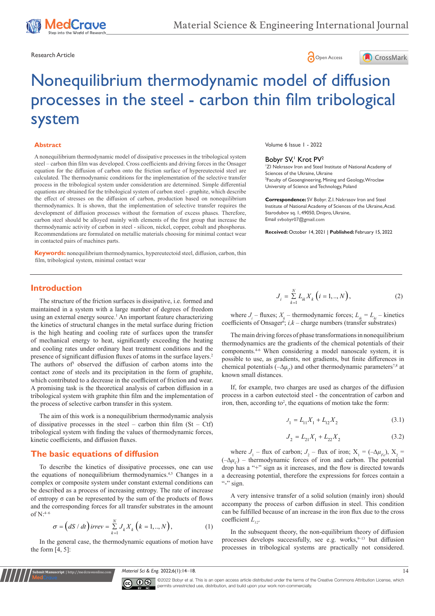

Research Article **Contracts** Contracts and Contracts Contracts Contracts Contracts Contracts Contracts Contracts Contracts Contracts Contracts Contracts Contracts Contracts Contracts Contracts Contracts Contracts Contracts





# Nonequilibrium thermodynamic model of diffusion processes in the steel - carbon thin film tribological system

#### **Abstract**

A nonequilibrium thermodynamic model of dissipative processes in the tribological system steel – carbon thin film was developed. Cross coefficients and driving forces in the Onsager equation for the diffusion of carbon onto the friction surface of hypereutectoid steel are calculated. The thermodynamic conditions for the implementation of the selective transfer process in the tribological system under consideration are determined. Simple differential equations are obtained for the tribological system of carbon steel - graphite, which describe the effect of stresses on the diffusion of carbon, production based on nonequilibrium thermodynamics. It is shown, that the implementation of selective transfer requires the development of diffusion processes without the formation of excess phases. Therefore, carbon steel should be alloyed mainly with elements of the first group that increase the thermodynamic activity of carbon in steel - silicon, nickel, copper, cobalt and phosphorus. Recommendations are formulated on metallic materials choosing for minimal contact wear in contacted pairs of machines parts.

**Keywords:** nonequilibrium thermodynamics, hypereutectoid steel, diffusion, carbon, thin film, tribological system, minimal contact wear

Volume 6 Issue 1 - 2022

#### Bobyr SV,<sup>1</sup> Krot PV<sup>2</sup>

1 ZI Nekrasov Iron and Steel Institute of National Academy of Sciences of the Ukraine, Ukraine 2 Faculty of Geoengineering, Mining and Geology, Wroclaw University of Science and Technology, Poland

**Correspondence:** SV Bobyr. Z.I. Nekrasov Iron and Steel Institute of National Academy of Sciences of the Ukraine, Acad. Starodubov sq. 1, 49050, Dnipro, Ukraine, Email svbobyr07@gmail.com

**Received:** October 14, 2021 | **Published:** February 15, 2022

## **Introduction**

The structure of the friction surfaces is dissipative, i.e. formed and maintained in a system with a large number of degrees of freedom using an external energy source.<sup>1</sup> An important feature characterizing the kinetics of structural changes in the metal surface during friction is the high heating and cooling rate of surfaces upon the transfer of mechanical energy to heat, significantly exceeding the heating and cooling rates under ordinary heat treatment conditions and the presence of significant diffusion fluxes of atoms in the surface layers.<sup>2</sup> The authors of<sup>3</sup> observed the diffusion of carbon atoms into the contact zone of steels and its precipitation in the form of graphite, which contributed to a decrease in the coefficient of friction and wear. A promising task is the theoretical analysis of carbon diffusion in a tribological system with graphite thin film and the implementation of the process of selective carbon transfer in this system.

The aim of this work is a nonequilibrium thermodynamic analysis of dissipative processes in the steel – carbon thin film  $(St - Ctf)$ tribological system with finding the values of thermodynamic forces, kinetic coefficients, and diffusion fluxes.

## **The basic equations of diffusion**

**it Manuscript** | http://medcraveonline.

To describe the kinetics of dissipative processes, one can use the equations of nonequilibrium thermodynamics.<sup>4,5</sup> Changes in a complex or composite system under constant external conditions can be described as a process of increasing entropy. The rate of increase of entropy σ can be represented by the sum of the products of flows and the corresponding forces for all transfer substrates in the amount of  $N:4-6$ 

$$
\sigma = \left( dS / dt \right) \text{irrev} = \sum_{k=1}^{N} J_k X_k \left( k = 1, ..., N \right), \tag{1}
$$

In the general case, the thermodynamic equations of motion have the form  $[4, 5]$ :

$$
J_i = \sum_{k=1}^{N} L_{ik} X_k \left( i = 1, ..., N \right), \tag{2}
$$

where  $J_i$  – fluxes;  $X_k$  – thermodynamic forces;  $L_{ik} = L_{ki}$  – kinetics coefficients of Onsager<sup>6</sup>;  $i, k$  – charge numbers (transfer substrates)

The main driving forces of phase transformations in nonequilibrium thermodynamics are the gradients of the chemical potentials of their components.4-6 When considering a model nanoscale system, it is possible to use, as gradients, not gradients, but finite differences in chemical potentials ( $-\Delta\mu_i$ ) and other thermodynamic parameters<sup>7,8</sup> at known small distances.

If, for example, two charges are used as charges of the diffusion process in a carbon eutectoid steel - the concentration of carbon and iron, then, according to<sup>2</sup>, the equations of motion take the form:

$$
J_1 = L_{11}X_1 + L_{12}X_2 \tag{3.1}
$$

$$
J_2 = L_{21}X_1 + L_{22}X_2 \tag{3.2}
$$

where  $J_1$  – flux of carbon;  $J_2$  – flux of iron;  $X_1 = (-\Delta \mu_{Fe})$ ,  $X_2 =$ (*–∆μС*) – thermodynamic forces of iron and carbon. The potential drop has a "+" sign as it increases, and the flow is directed towards a decreasing potential, therefore the expressions for forces contain a "-" sign.

A very intensive transfer of a solid solution (mainly iron) should accompany the process of carbon diffusion in steel. This condition can be fulfilled because of an increase in the iron flux due to the cross coefficient  $L_{i}$ <sup>2</sup>.

In the subsequent theory, the non-equilibrium theory of diffusion processes develops successfully, see e.g. works,  $9-13$  but diffusion processes in tribological systems are practically not considered.

*Material Sci & Eng.* 2022;6(1):14‒18. 14



©2022 Bobyr et al. This is an open access article distributed under the terms of the [Creative Commons Attribution License](https://creativecommons.org/licenses/by-nc/4.0/), which permits unrestricted use, distribution, and build upon your work non-commercially.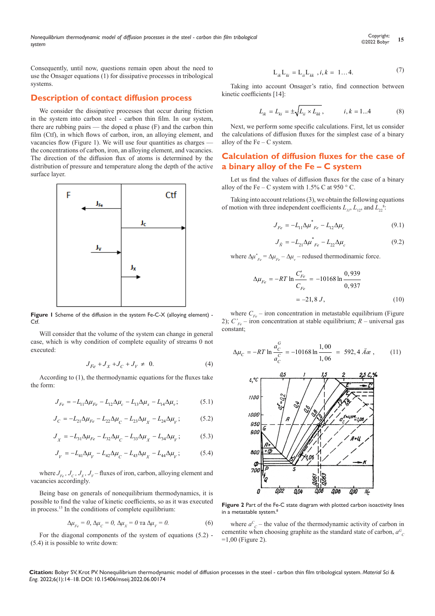*Nonequilibrium thermodynamic model of diffusion processes in the steel - carbon thin film tribological system*

Consequently, until now, questions remain open about the need to use the Onsager equations (1) for dissipative processes in tribological systems.

### **Description of contact diffusion process**

We consider the dissipative processes that occur during friction in the system into carbon steel - carbon thin film. In our system, there are rubbing pairs — the doped  $\alpha$  phase (F) and the carbon thin film (Ctf), in which flows of carbon, iron, an alloying element, and vacancies flow (Figure 1). We will use four quantities as charges the concentrations of carbon, iron, an alloying element, and vacancies. The direction of the diffusion flux of atoms is determined by the distribution of pressure and temperature along the depth of the active surface layer.



**Figure 1** Scheme of the diffusion in the system Fe-C-X (alloying element) - C<sub>tf</sub>

Will consider that the volume of the system can change in general case, which is why condition of complete equality of streams 0 not executed:

$$
J_{Fe} + J_{X} + J_{C} + J_{V} \neq 0. \tag{4}
$$

According to (1), the thermodynamic equations for the fluxes take the form:

$$
J_{Fe} = -L_{11}\Delta\mu_{Fe} - L_{12}\Delta\mu_{c} - L_{13}\Delta\mu_{x} - L_{14}\Delta\mu_{y};
$$
 (5.1)

$$
J_C = -L_{21}\Delta\mu_{Fe} - L_{22}\Delta\mu_C - L_{23}\Delta\mu_{\chi} - L_{24}\Delta\mu_{\gamma};
$$
 (5.2)

$$
J_{\chi} = -L_{31} \Delta \mu_{Fe} - L_{32} \Delta \mu_{C} - L_{33} \Delta \mu_{\chi} - L_{34} \Delta \mu_{V};
$$
 (5.3)

$$
J_V = -L_{41}\Delta\mu_V - L_{42}\Delta\mu_C - L_{43}\Delta\mu_X - L_{44}\Delta\mu_V; \tag{5.4}
$$

where  $J_{F_e}$ ,  $J_C$ ,  $J_Y$ ,  $J_V$  – fluxes of iron, carbon, alloying element and vacancies accordingly.

Being base on generals of nonequilibrium thermodynamics, it is possible to find the value of kinetic coefficients, so as it was executed in process.15 In the conditions of complete equilibrium:

$$
\Delta \mu_{Fe} = 0, \Delta \mu_C = 0, \Delta \mu_X = 0 \text{ rad } \Delta \mu_V = 0. \tag{6}
$$

For the diagonal components of the system of equations (5.2) - (5.4) it is possible to write down:

$$
L_{ik}L_{ki} = L_{ii}L_{kk}, i, k = 1...4.
$$
 (7)

Taking into account Onsager's ratio, find connection between kinetic coefficients [14]:

$$
L_{ik} = L_{ki} = \pm \sqrt{L_{ii} \times L_{kk}}, \qquad i, k = 1...4
$$
 (8)

Next, we perform some specific calculations. First, let us consider the calculations of diffusion fluxes for the simplest case of a binary alloy of the  $Fe - C$  system.

# **Calculation of diffusion fluxes for the case of a binary alloy of the Fe – C system**

Let us find the values of diffusion fluxes for the case of a binary alloy of the Fe – C system with 1.5% C at 950  $\degree$  C.

Taking into account relations (3), we obtain the following equations of motion with three independent coefficients  $L_{11}$ ,  $L_{12}$ , and  $L_{22}$ <sup>8</sup>:

$$
J_{Fe} = -L_{11} \Delta \mu_{Fe}^{*} - L_{12} \Delta \mu_{c}
$$
 (9.1)

$$
J_{\tilde{N}} = -L_{21} \Delta \mu_{Fe}^{*} - L_{22} \Delta \mu_{c}
$$
 (9.2)

where  $\Delta \mu^*_{Fe} = \Delta \mu_{Fe} - \Delta \mu_v$  – redused thermodinamic force.

$$
\Delta \mu_{Fe} = -RT \ln \frac{C'_{Fe}}{C_{Fe}} = -10168 \ln \frac{0,939}{0,937}
$$

$$
= -21,8 \text{ J}, \qquad (10)
$$

where  $C_{F_e}$  – iron concentration in metastable equilibrium (Figure 2); *С'Fe* – iron concentration at stable equilibrium; *R* – universal gas constant;

$$
\Delta \mu_C = -RT \ln \frac{a_C^G}{a_C^C} = -10168 \ln \frac{1,00}{1,06} = 592,4 \ \text{Å} \ \text{and} \tag{11}
$$



**Figure 2** Part of the Fe-C state diagram with plotted carbon isoactivity lines in a metastable system.<sup>8</sup>

where  $a^C$ <sub>C</sub> – the value of the thermodynamic activity of carbon in cementite when choosing graphite as the standard state of carbon,  $a<sup>G</sup><sub>C</sub>$  $=1,00$  (Figure 2).

**Citation:** Bobyr SV, Krot PV. Nonequilibrium thermodynamic model of diffusion processes in the steel - carbon thin film tribological system. *Material Sci & Eng.* 2022;6(1):14‒18. DOI: [10.15406/mseij.2022.06.00174](https://doi.org/10.15406/mseij.2022.06.00174)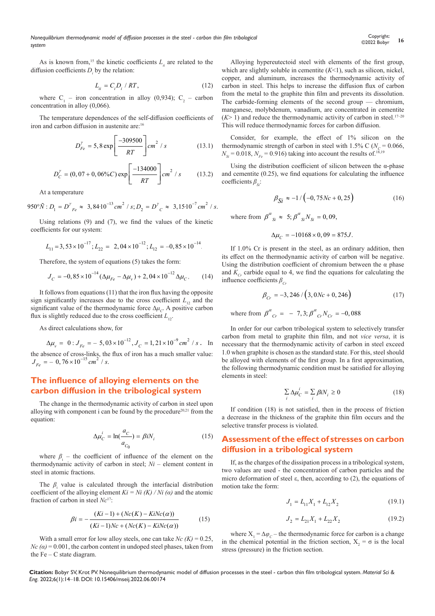*Nonequilibrium thermodynamic model of diffusion processes in the steel - carbon thin film tribological system*

As is known from,<sup>15</sup> the kinetic coefficients  $L<sub>i</sub>$  are related to the diffusion coefficients *D<sub>i</sub>* by the relation:

$$
L_{ii} = C_i D_i / RT, \qquad (12)
$$

where  $C_1$  – iron concentration in alloy (0,934);  $C_2$  – carbon concentration in alloy (0,066).

The temperature dependences of the self-diffusion coefficients of iron and carbon diffusion in austenite are:<sup>16</sup>

$$
D_{Fe}^{\gamma} = 5,8 \exp\left[\frac{-309500}{RT}\right] cm^2 / s \qquad (13.1)
$$

$$
D_C^{\gamma} = (0, 07 + 0, 06\%C) \exp\left[\frac{-134000}{RT}\right] cm^2 / s \qquad (13.2)
$$

At a temperature

 $950^{\circ} \tilde{N}: D_1 = D^{\gamma}{}_{Fe} \approx 3{,}84^{\cdot} 10^{-13} cm^2 / s; D_2 = D^{\gamma}{}_{C} \approx 3{,}15^{\cdot} 10^{-7} cm^2 / s.$ 

Using relations (9) and (7), we find the values of the kinetic coefficients for our system:

$$
L_{11} = 3,53 \times 10^{-17}; L_{22} = 2,04 \times 10^{-12}; L_{12} = -0,85 \times 10^{-14}.
$$

Therefore, the system of equations (5) takes the form:

$$
J_C = -0.85 \times 10^{-14} \left(\Delta \mu_{Fe} - \Delta \mu_v\right) + 2.04 \times 10^{-12} \Delta \mu_C, \qquad (14)
$$

It follows from equations (11) that the iron flux having the opposite sign significantly increases due to the cross coefficient  $L_{12}$  and the significant value of the thermodynamic force Δ $\mu_c$ . A positive carbon flux is slightly reduced due to the cross coefficient  $L_1$ .

As direct calculations show, for

$$
\Delta \mu_v = 0: J_{Fe} = -5,03 \times 10^{-12}, J_C = 1,21 \times 10^{-9} \text{ cm}^2 / s.
$$
 In  
the absence of cross-links, the flux of iron has a much smaller value:  

$$
J_{Fe} = -0,76 \times 10^{-15} \text{ cm}^2 / s.
$$

# **The influence of alloying elements on the carbon diffusion in the tribological system**

The change in the thermodynamic activity of carbon in steel upon alloying with component i can be found by the procedure<sup>20,21</sup> from the equation:

$$
\Delta \mu_C^i = \ln(\frac{a_C}{a_{C_0}}) = \beta i N_i \tag{15}
$$

where  $\beta$ <sub>i</sub> – the coefficient of influence of the element on the thermodynamic activity of carbon in steel; *Ni* – element content in steel in atomic fractions.

The  $\beta$ <sub>i</sub> value is calculated through the interfacial distribution coefficient of the alloying element  $Ki = Ni (K) / Ni (a)$  and the atomic fraction of carbon in steel *Nc*17:

$$
\beta i = -\frac{(Ki - 1) + (Nc(K) - KiNc(\alpha))}{(Ki - 1)Nc + (Nc(K) - KiNc(\alpha))}
$$
(15)

With a small error for low alloy steels, one can take  $Nc(K) = 0.25$ ,  $Nc$  ( $\alpha$ ) = 0.001, the carbon content in undoped steel phases, taken from the  $Fe - C$  state diagram.

Alloying hypereutectoid steel with elements of the first group, which are slightly soluble in cementite  $(K<1)$ , such as silicon, nickel, copper, and aluminum, increases the thermodynamic activity of carbon in steel. This helps to increase the diffusion flux of carbon from the metal to the graphite thin film and prevents its dissolution. The carbide-forming elements of the second group — chromium, manganese, molybdenum, vanadium, are concentrated in cementite  $(K>1)$  and reduce the thermodynamic activity of carbon in steel.<sup>17-20</sup> This will reduce thermodynamic forces for carbon diffusion.

Consider, for example, the effect of 1% silicon on the thermodynamic strength of carbon in steel with 1.5% C ( $N_c = 0.066$ ,  $N_{Si} = 0.018$ ,  $N_{Fe} = 0.916$ ) taking into account the results of.<sup>18,19</sup>

Using the distribution coefficient of silicon between the  $\alpha$ -phase and cementite (0.25), we find equations for calculating the influence coefficients  $β_0$ :

$$
\beta_{Si} \approx -1/(-0, 75Nc + 0, 25) \tag{16}
$$

where from  $\beta^{\alpha}_{Si} \approx 5; \beta^{\alpha}_{Si} N_{Si} = 0,09$ ,

$$
\Delta \mu_C = -10168 \times 0,09 = 875J.
$$

If 1.0% Cr is present in the steel, as an ordinary addition, then its effect on the thermodynamic activity of carbon will be negative. Using the distribution coefficient of chromium between the  $\alpha$  phase and  $K_c$  carbide equal to 4, we find the equations for calculating the influence coefficients  $β<sub>Cr</sub>$ 

$$
\beta_{Cr} = -3,246 / (3,0Nc + 0,246) \tag{17}
$$

where from  $\beta^{\alpha}_{C_r} = -7, 3; \beta^{\alpha}_{C_r} N_{Cr} = -0,088$ 

In order for our carbon tribological system to selectively transfer carbon from metal to graphite thin film, and not *vice versa*, it is necessary that the thermodynamic activity of carbon in steel exceed 1.0 when graphite is chosen as the standard state. For this, steel should be alloyed with elements of the first group. In a first approximation, the following thermodynamic condition must be satisfied for alloying elements in steel:

$$
\sum_{i} \Delta \mu_{C}^{i} = \sum_{i} \beta i N_{i} \ge 0
$$
\n(18)

If condition (18) is not satisfied, then in the process of friction a decrease in the thickness of the graphite thin film occurs and the selective transfer process is violated.

# **Assessment of the effect of stresses on carbon diffusion in a tribological system**

If, as the charges of the dissipation process in a tribological system, two values are used - the concentration of carbon particles and the micro deformation of steel ε, then, according to (2), the equations of motion take the form:

$$
J_1 = L_{11}X_1 + L_{12}X_2 \tag{19.1}
$$

$$
J_2 = L_{21}X_1 + L_{22}X_2 \tag{19.2}
$$

where  $X_1 = \Delta \varphi_C$  – the thermodynamic force for carbon is a change in the chemical potential in the friction section,  $X_2 = \sigma$  is the local stress (pressure) in the friction section.

**Citation:** Bobyr SV, Krot PV. Nonequilibrium thermodynamic model of diffusion processes in the steel - carbon thin film tribological system. *Material Sci & Eng.* 2022;6(1):14‒18. DOI: [10.15406/mseij.2022.06.00174](https://doi.org/10.15406/mseij.2022.06.00174)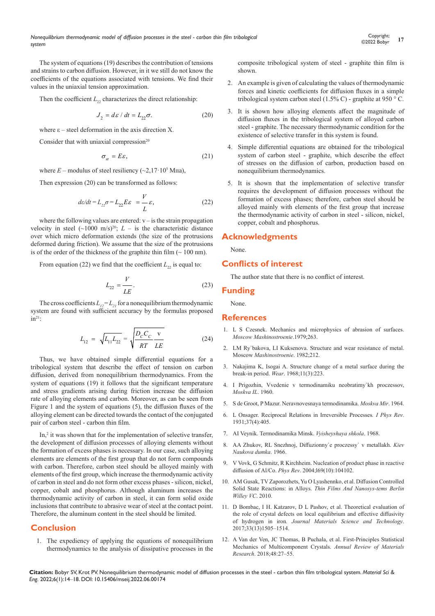The system of equations (19) describes the contribution of tensions and strains to carbon diffusion. However, in it we still do not know the coefficients of the equations associated with tensions. We find their values in the uniaxial tension approximation.

Then the coefficient  $L<sub>22</sub>$  characterizes the direct relationship:

$$
J_2 = d\varepsilon / dt = L_{22}\sigma.
$$
 (20)

where  $\varepsilon$  – steel deformation in the axis direction X.

Consider that with uniaxial compression $20$ 

$$
\sigma_{\alpha} = E\varepsilon, \tag{21}
$$

where  $E$  – modulus of steel resiliency ( $\sim$ 2,17·10<sup>5</sup> M $\pi$ a),

Then expression (20) can be transformed as follows:

$$
de/dt = L_{22}\sigma = L_{22}E\varepsilon = \frac{V}{L}\varepsilon, \qquad (22)
$$

where the following values are entered:  $v - i$  is the strain propagation velocity in steel  $({\sim}1000 \text{ m/s})^{20}$ ; *L* – is the characteristic distance over which micro deformation extends (the size of the protrusions deformed during friction). We assume that the size of the protrusions is of the order of the thickness of the graphite thin film  $($   $\sim$  100 nm).

From equation (22) we find that the coefficient  $L<sub>22</sub>$  is equal to:

$$
L_{22} = \frac{V}{LE}.\tag{23}
$$

The cross coefficients  $L_{12} = L_{21}$  for a nonequilibrium thermodynamic system are found with sufficient accuracy by the formulas proposed  $in<sup>21</sup>$ :

$$
L_{12} = \sqrt{L_{11} L_{22}} = \sqrt{\frac{D_C C_C}{RT}} \frac{\text{v}}{LE}
$$
 (24)

Thus, we have obtained simple differential equations for a tribological system that describe the effect of tension on carbon diffusion, derived from nonequilibrium thermodynamics. From the system of equations (19) it follows that the significant temperature and stress gradients arising during friction increase the diffusion rate of alloying elements and carbon. Moreover, as can be seen from Figure 1 and the system of equations (5), the diffusion fluxes of the alloying element can be directed towards the contact of the conjugated pair of carbon steel - carbon thin film.

In,<sup>2</sup> it was shown that for the implementation of selective transfer, the development of diffusion processes of alloying elements without the formation of excess phases is necessary. In our case, such alloying elements are elements of the first group that do not form compounds with carbon. Therefore, carbon steel should be alloyed mainly with elements of the first group, which increase the thermodynamic activity of carbon in steel and do not form other excess phases - silicon, nickel, copper, cobalt and phosphorus. Although aluminum increases the thermodynamic activity of carbon in steel, it can form solid oxide inclusions that contribute to abrasive wear of steel at the contact point. Therefore, the aluminum content in the steel should be limited.

## **Conclusion**

1. The expediency of applying the equations of nonequilibrium thermodynamics to the analysis of dissipative processes in the

composite tribological system of steel - graphite thin film is shown.

- 2. An example is given of calculating the values of thermodynamic forces and kinetic coefficients for diffusion fluxes in a simple tribological system carbon steel  $(1.5\% \text{ C})$  - graphite at 950 ° C.
- 3. It is shown how alloying elements affect the magnitude of diffusion fluxes in the tribological system of alloyed carbon steel - graphite. The necessary thermodynamic condition for the existence of selective transfer in this system is found.
- 4. Simple differential equations are obtained for the tribological system of carbon steel - graphite, which describe the effect of stresses on the diffusion of carbon, production based on nonequilibrium thermodynamics.
- 5. It is shown that the implementation of selective transfer requires the development of diffusion processes without the formation of excess phases; therefore, carbon steel should be alloyed mainly with elements of the first group that increase the thermodynamic activity of carbon in steel - silicon, nickel, copper, cobalt and phosphorus.

## **Acknowledgments**

None.

## **Conflicts of interest**

The author state that there is no conflict of interest.

#### **Funding**

None.

#### **References**

- 1. L S Czesnek. Mechanics and microphysics of abrasion of surfaces. *Moscow Mashinostroenie*.1979;263.
- 2. LM Ry`bakova, LI Kuksenova. Structure and wear resistance of metal. Moscow *Mashinostroenie*. 1982;212.
- 3. [Nakajima K, Isogai A. Structure change of a metal surface during the](https://zh.booksc.eu/book/2556119/2ffd9f)  break-in period. *Wear*[. 1968;11\(3\):223.](https://zh.booksc.eu/book/2556119/2ffd9f)
- 4. [I Prigozhin, Vvedenie v termodinamiku neobratimy`kh proczessov,](https://scholar.google.com/scholar_lookup?title=Introduction to the Thermodynamics of Irreversible Processes %5Bin Russian%5D&publication_year=1960&author=Prigozhin%2CI.)  *[Moskva IL](https://scholar.google.com/scholar_lookup?title=Introduction to the Thermodynamics of Irreversible Processes %5Bin Russian%5D&publication_year=1960&author=Prigozhin%2CI.)*. 1960.
- 5. [S de Groot, P Mazur. Neravnovesnaya termodinamika.](https://books.google.co.in/books?hl=en&lr=&id=mfFyG9jfaMYC&oi=fnd&pg=PP1&ots=ih_kwzBZmw&sig=Vb9AxXrg2Ar8A_oM2snUsq_kVPQ&redir_esc=y#v=onepage&q&f=false) *Moskva Mir*. 1964.
- 6. [L Onsager. Reciprocal Relations in Irreversible Processes](https://journals.aps.org/pr/abstract/10.1103/PhysRev.37.405)*. I Phys Rev*. [1931;37\(4\):405.](https://journals.aps.org/pr/abstract/10.1103/PhysRev.37.405)
- 7. AI Veynik. Termodinamika Minsk. *Vyisheyshaya shkola*. 1968.
- 8. AA Zhukov, RL Snezhnoj, Diffuzionny`e proczessy` v metallakh. *Kiev Naukova dumka*. 1966.
- 9. [V Vovk, G Schmitz, R Kirchheim. Nucleation of product phase in reactive](https://in.booksc.me/book/26365576/68f2ec)  diffusion of Al/Co. *Phys Rev*[. 2004;l69\(10\):104102.](https://in.booksc.me/book/26365576/68f2ec)
- 10. [AM Gusak, TV Zaporozhets, Yu O Lyashennko, et al. Diffusion Controlled](https://www.wiley.com/en-us/Diffusion+controlled+Solid+State+Reactions%3A+In+Alloys%2C+Thin+Films+and+Nanosystems-p-9783527641567)  Solid State Reactions: in Alloys. *[Thin Films And Nanosys-tems Berlin](https://www.wiley.com/en-us/Diffusion+controlled+Solid+State+Reactions%3A+In+Alloys%2C+Thin+Films+and+Nanosystems-p-9783527641567)  [Willey VC](https://www.wiley.com/en-us/Diffusion+controlled+Solid+State+Reactions%3A+In+Alloys%2C+Thin+Films+and+Nanosystems-p-9783527641567)*. 2010.
- 11. [D Bombac, I H. Katzarov, D L Pashov, et al. Theoretical evaluation of](https://www.tandfonline.com/doi/full/10.1080/02670836.2017.1310417)  [the role of crystal defects on local equilibrium and effective diffusivity](https://www.tandfonline.com/doi/full/10.1080/02670836.2017.1310417)  of hydrogen in iron*[. Journal Materials Science and Technology](https://www.tandfonline.com/doi/full/10.1080/02670836.2017.1310417)*. [2017;33\(13\)1505–1514.](https://www.tandfonline.com/doi/full/10.1080/02670836.2017.1310417)
- 12. [A Van der Ven, JC Thomas, B Puchala, et al. First-Principles Statistical](https://www.annualreviews.org/doi/abs/10.1146/annurev-matsci-070317-124443)  [Mechanics of Multicomponent Crystals.](https://www.annualreviews.org/doi/abs/10.1146/annurev-matsci-070317-124443) *Annual Review of Materials Research*[. 2018;48:27–55.](https://www.annualreviews.org/doi/abs/10.1146/annurev-matsci-070317-124443)

**Citation:** Bobyr SV, Krot PV. Nonequilibrium thermodynamic model of diffusion processes in the steel - carbon thin film tribological system. *Material Sci & Eng.* 2022;6(1):14‒18. DOI: [10.15406/mseij.2022.06.00174](https://doi.org/10.15406/mseij.2022.06.00174)